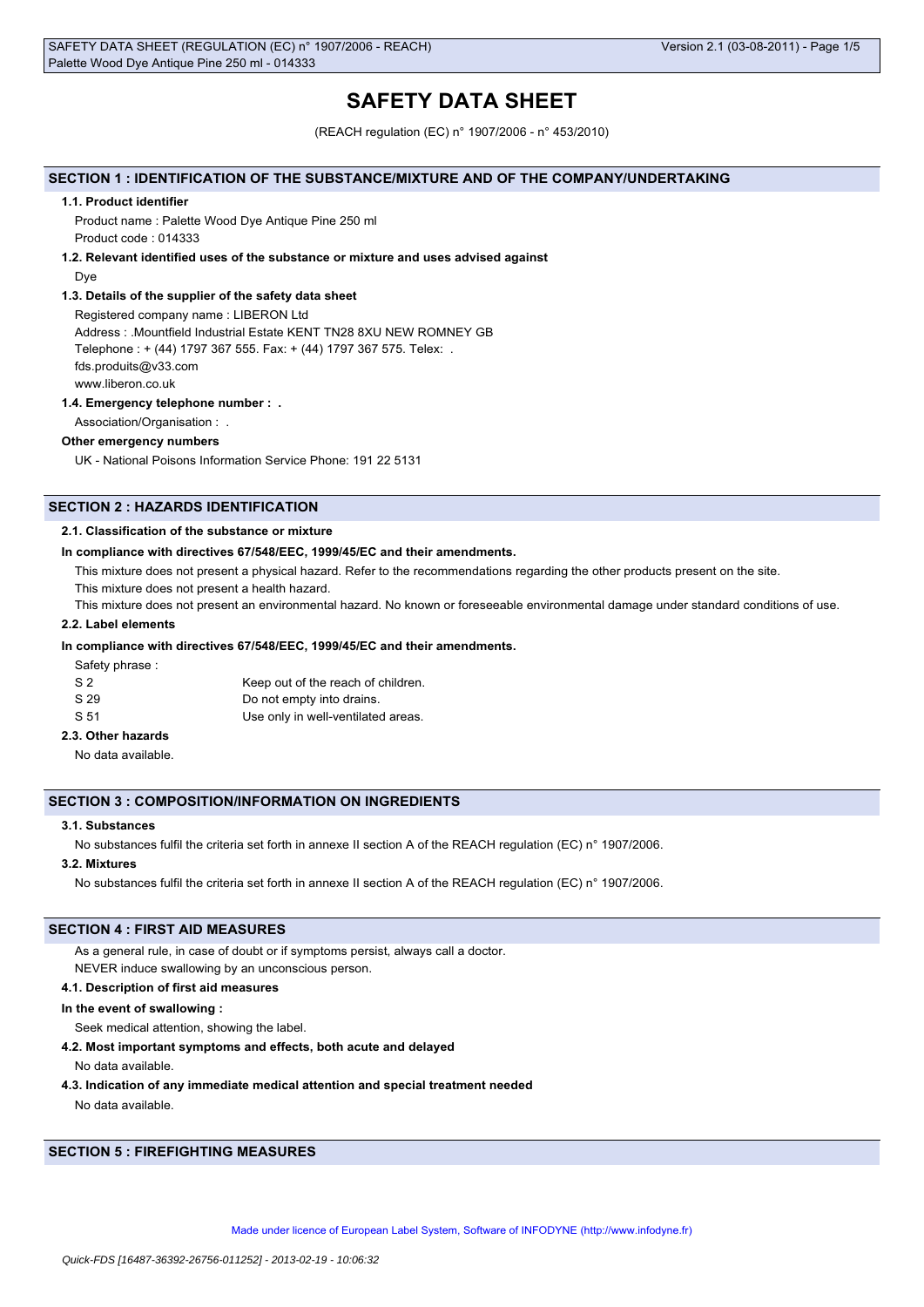# **SAFETY DATA SHEET**

(REACH regulation (EC) n° 1907/2006 - n° 453/2010)

### **SECTION 1 : IDENTIFICATION OF THE SUBSTANCE/MIXTURE AND OF THE COMPANY/UNDERTAKING**

#### **1.1. Product identifier**

Product name : Palette Wood Dye Antique Pine 250 ml Product code : 014333

#### **1.2. Relevant identified uses of the substance or mixture and uses advised against**

Dye

#### **1.3. Details of the supplier of the safety data sheet**

Registered company name : LIBERON Ltd Address : .Mountfield Industrial Estate KENT TN28 8XU NEW ROMNEY GB Telephone : + (44) 1797 367 555. Fax: + (44) 1797 367 575. Telex: . fds.produits@v33.com www.liberon.co.uk

#### **1.4. Emergency telephone number : .**

Association/Organisation : .

# **Other emergency numbers**

UK - National Poisons Information Service Phone: 191 22 5131

# **SECTION 2 : HAZARDS IDENTIFICATION**

#### **2.1. Classification of the substance or mixture**

#### **In compliance with directives 67/548/EEC, 1999/45/EC and their amendments.**

This mixture does not present a physical hazard. Refer to the recommendations regarding the other products present on the site.

This mixture does not present a health hazard.

This mixture does not present an environmental hazard. No known or foreseeable environmental damage under standard conditions of use.

## **2.2. Label elements**

#### **In compliance with directives 67/548/EEC, 1999/45/EC and their amendments.**

Safety phrase :

| S <sub>2</sub> | Keep out of the reach of children. |
|----------------|------------------------------------|
| S 29           | Do not empty into drains.          |
| S 51           | Use only in well-ventilated areas. |

# **2.3. Other hazards**

No data available.

## **SECTION 3 : COMPOSITION/INFORMATION ON INGREDIENTS**

### **3.1. Substances**

No substances fulfil the criteria set forth in annexe II section A of the REACH regulation (EC) n° 1907/2006.

# **3.2. Mixtures**

No substances fulfil the criteria set forth in annexe II section A of the REACH regulation (EC) n° 1907/2006.

# **SECTION 4 : FIRST AID MEASURES**

As a general rule, in case of doubt or if symptoms persist, always call a doctor.

NEVER induce swallowing by an unconscious person.

# **4.1. Description of first aid measures**

# **In the event of swallowing :**

Seek medical attention, showing the label.

#### **4.2. Most important symptoms and effects, both acute and delayed**

No data available.

**4.3. Indication of any immediate medical attention and special treatment needed**

No data available.

# **SECTION 5 : FIREFIGHTING MEASURES**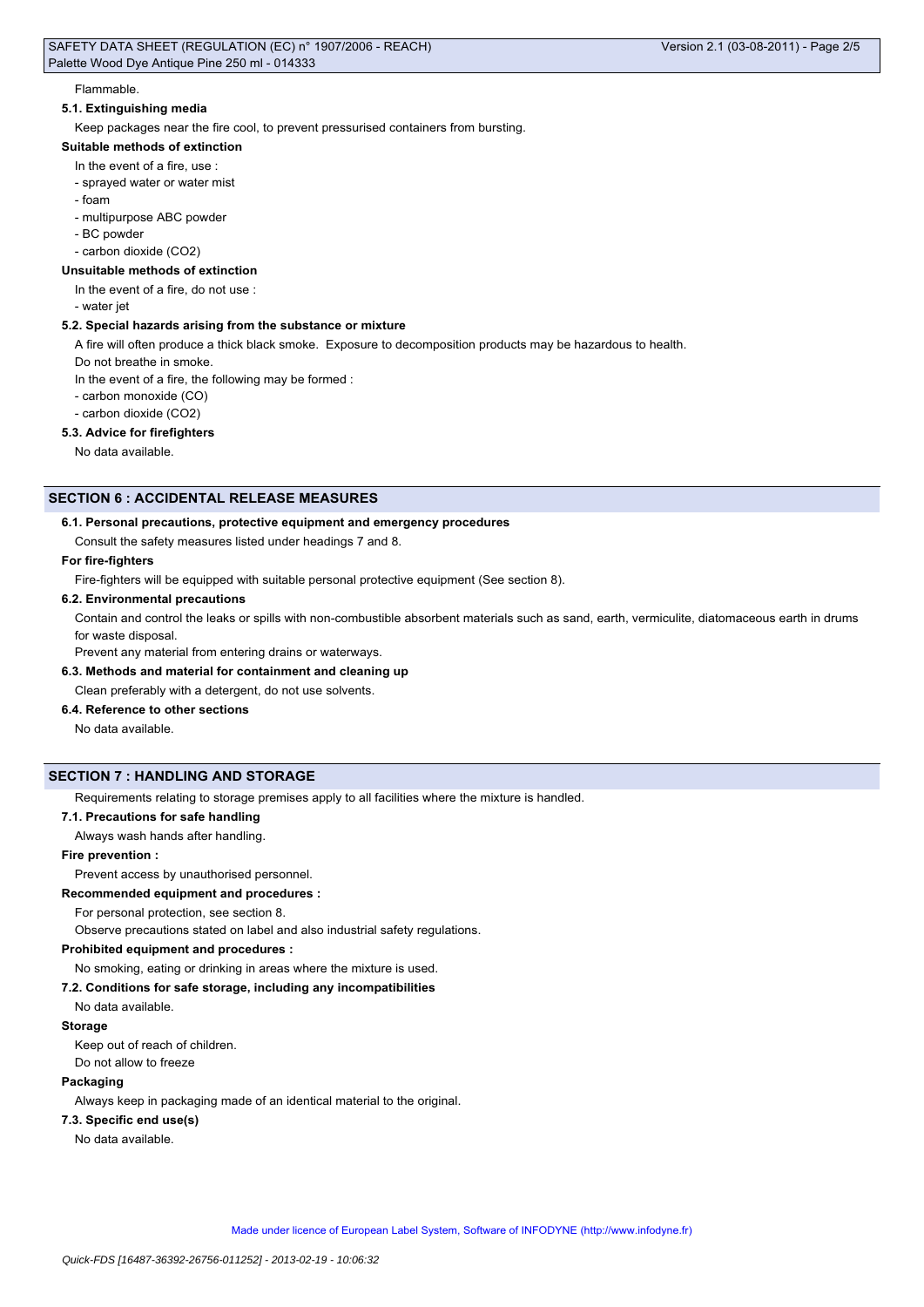#### Flammable.

# **5.1. Extinguishing media**

Keep packages near the fire cool, to prevent pressurised containers from bursting.

#### **Suitable methods of extinction**

- In the event of a fire, use :
- sprayed water or water mist
- foam
- multipurpose ABC powder
- BC powder
- carbon dioxide (CO2)

#### **Unsuitable methods of extinction**

- In the event of a fire, do not use :
- water jet

#### **5.2. Special hazards arising from the substance or mixture**

A fire will often produce a thick black smoke. Exposure to decomposition products may be hazardous to health.

Do not breathe in smoke.

In the event of a fire, the following may be formed :

- carbon monoxide (CO)
- carbon dioxide (CO2)

# **5.3. Advice for firefighters**

No data available.

# **SECTION 6 : ACCIDENTAL RELEASE MEASURES**

#### **6.1. Personal precautions, protective equipment and emergency procedures**

Consult the safety measures listed under headings 7 and 8.

#### **For fire-fighters**

Fire-fighters will be equipped with suitable personal protective equipment (See section 8).

#### **6.2. Environmental precautions**

Contain and control the leaks or spills with non-combustible absorbent materials such as sand, earth, vermiculite, diatomaceous earth in drums for waste disposal.

Prevent any material from entering drains or waterways.

# **6.3. Methods and material for containment and cleaning up**

Clean preferably with a detergent, do not use solvents.

# **6.4. Reference to other sections**

No data available.

# **SECTION 7 : HANDLING AND STORAGE**

Requirements relating to storage premises apply to all facilities where the mixture is handled.

# **7.1. Precautions for safe handling**

Always wash hands after handling.

#### **Fire prevention :**

Prevent access by unauthorised personnel.

**Recommended equipment and procedures :**

For personal protection, see section 8.

Observe precautions stated on label and also industrial safety regulations.

#### **Prohibited equipment and procedures :**

No smoking, eating or drinking in areas where the mixture is used.

#### **7.2. Conditions for safe storage, including any incompatibilities**

No data available.

#### **Storage**

Keep out of reach of children. Do not allow to freeze

# **Packaging**

Always keep in packaging made of an identical material to the original.

#### **7.3. Specific end use(s)**

No data available.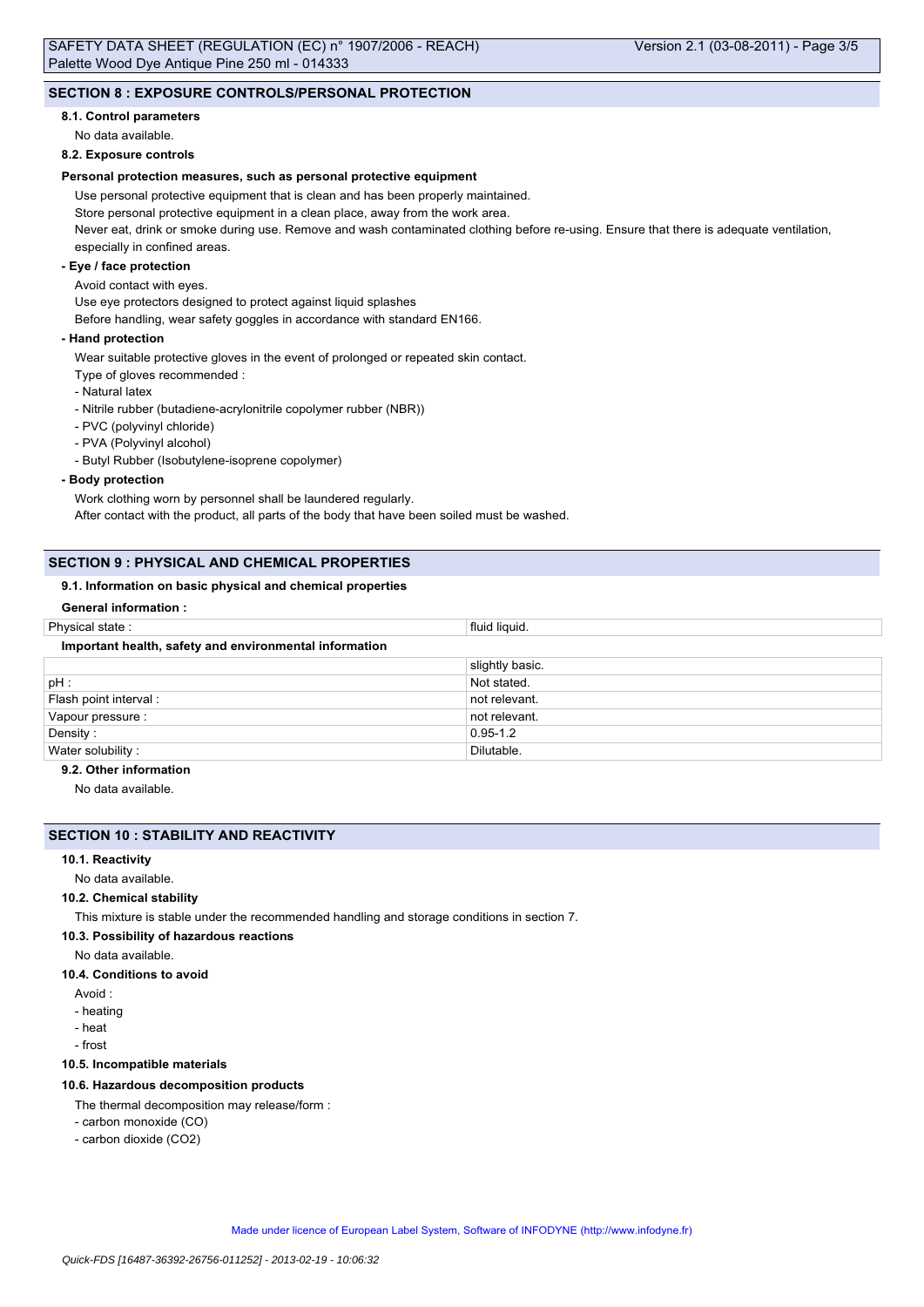#### **8.1. Control parameters**

No data available.

#### **8.2. Exposure controls**

### **Personal protection measures, such as personal protective equipment**

Use personal protective equipment that is clean and has been properly maintained.

Store personal protective equipment in a clean place, away from the work area.

Never eat, drink or smoke during use. Remove and wash contaminated clothing before re-using. Ensure that there is adequate ventilation, especially in confined areas.

# **- Eye / face protection**

#### Avoid contact with eyes.

Use eye protectors designed to protect against liquid splashes

Before handling, wear safety goggles in accordance with standard EN166.

### **- Hand protection**

Wear suitable protective gloves in the event of prolonged or repeated skin contact.

- Type of gloves recommended :
- Natural latex
- Nitrile rubber (butadiene-acrylonitrile copolymer rubber (NBR))
- PVC (polyvinyl chloride)
- PVA (Polyvinyl alcohol)

- Butyl Rubber (Isobutylene-isoprene copolymer)

#### **- Body protection**

Work clothing worn by personnel shall be laundered regularly. After contact with the product, all parts of the body that have been soiled must be washed.

# **SECTION 9 : PHYSICAL AND CHEMICAL PROPERTIES**

# **9.1. Information on basic physical and chemical properties**

# **General information :**

| Physical state:                                        | fluid liquid.   |
|--------------------------------------------------------|-----------------|
| Important health, safety and environmental information |                 |
|                                                        | slightly basic. |
| pH:                                                    | Not stated.     |
| Flash point interval :                                 | not relevant.   |
| Vapour pressure :                                      | not relevant.   |
| Density:                                               | $0.95 - 1.2$    |
| Water solubility:                                      | Dilutable.      |
| .                                                      |                 |

# **9.2. Other information**

No data available.

# **SECTION 10 : STABILITY AND REACTIVITY**

# **10.1. Reactivity**

No data available.

#### **10.2. Chemical stability**

This mixture is stable under the recommended handling and storage conditions in section 7.

### **10.3. Possibility of hazardous reactions**

- No data available.
- **10.4. Conditions to avoid**
	- Avoid :
	- heating
	- heat
	- frost

# **10.5. Incompatible materials**

#### **10.6. Hazardous decomposition products**

The thermal decomposition may release/form :

- carbon monoxide (CO)
- carbon dioxide (CO2)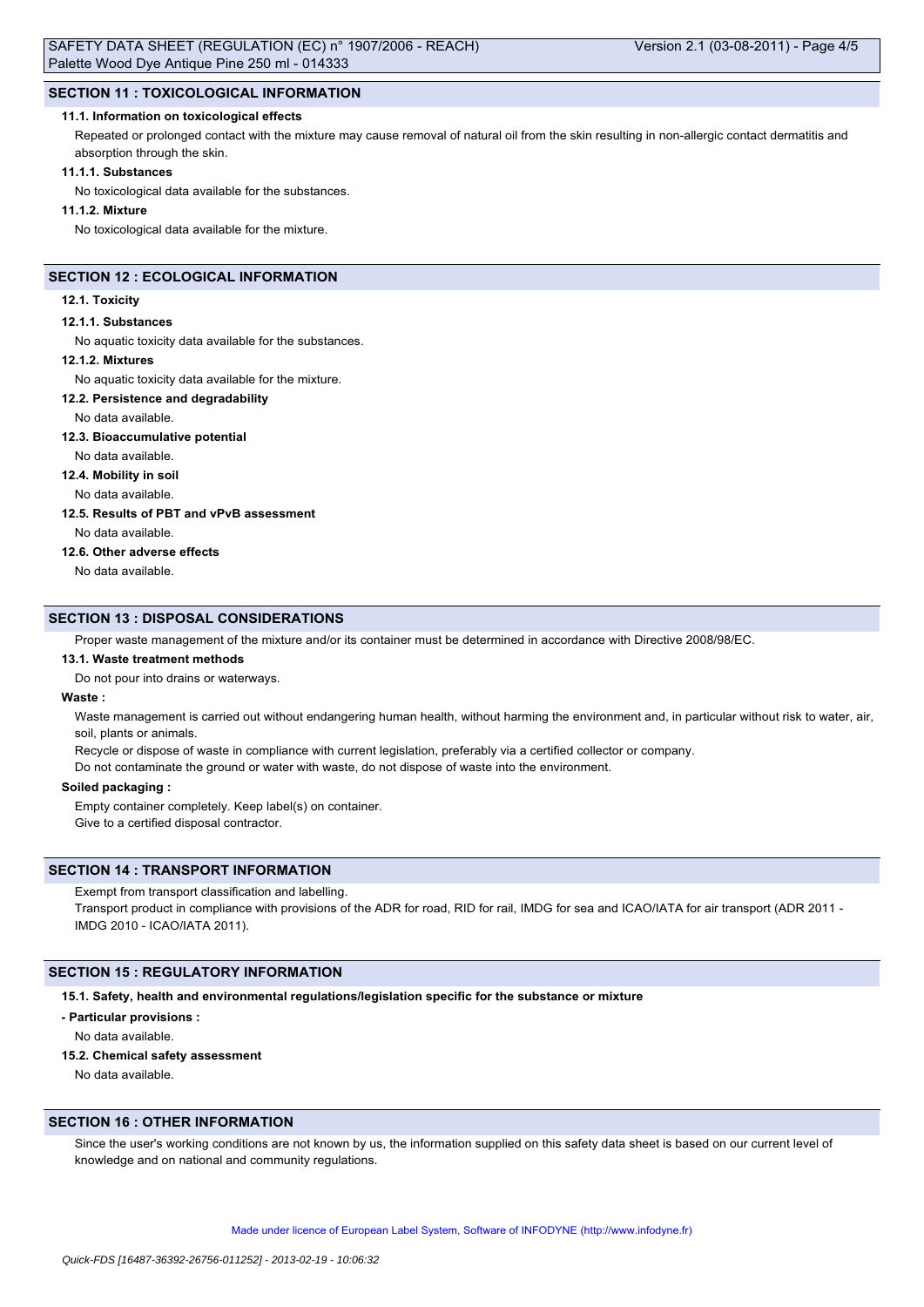# **SECTION 11 : TOXICOLOGICAL INFORMATION**

#### **11.1. Information on toxicological effects**

Repeated or prolonged contact with the mixture may cause removal of natural oil from the skin resulting in non-allergic contact dermatitis and absorption through the skin.

#### **11.1.1. Substances**

No toxicological data available for the substances.

#### **11.1.2. Mixture**

No toxicological data available for the mixture.

# **SECTION 12 : ECOLOGICAL INFORMATION**

#### **12.1. Toxicity**

#### **12.1.1. Substances**

No aquatic toxicity data available for the substances.

#### **12.1.2. Mixtures**

No aquatic toxicity data available for the mixture.

#### **12.2. Persistence and degradability**

No data available.

### **12.3. Bioaccumulative potential**

No data available.

#### **12.4. Mobility in soil**

No data available.

#### **12.5. Results of PBT and vPvB assessment**

No data available.

#### **12.6. Other adverse effects**

No data available.

### **SECTION 13 : DISPOSAL CONSIDERATIONS**

Proper waste management of the mixture and/or its container must be determined in accordance with Directive 2008/98/EC.

#### **13.1. Waste treatment methods**

Do not pour into drains or waterways.

# **Waste :**

Waste management is carried out without endangering human health, without harming the environment and, in particular without risk to water, air, soil, plants or animals.

Recycle or dispose of waste in compliance with current legislation, preferably via a certified collector or company.

Do not contaminate the ground or water with waste, do not dispose of waste into the environment.

### **Soiled packaging :**

Empty container completely. Keep label(s) on container.

Give to a certified disposal contractor.

# **SECTION 14 : TRANSPORT INFORMATION**

# Exempt from transport classification and labelling.

Transport product in compliance with provisions of the ADR for road, RID for rail, IMDG for sea and ICAO/IATA for air transport (ADR 2011 -IMDG 2010 - ICAO/IATA 2011).

### **SECTION 15 : REGULATORY INFORMATION**

**15.1. Safety, health and environmental regulations/legislation specific for the substance or mixture**

#### **- Particular provisions :**

No data available.

#### **15.2. Chemical safety assessment**

No data available.

# **SECTION 16 : OTHER INFORMATION**

Since the user's working conditions are not known by us, the information supplied on this safety data sheet is based on our current level of knowledge and on national and community regulations.